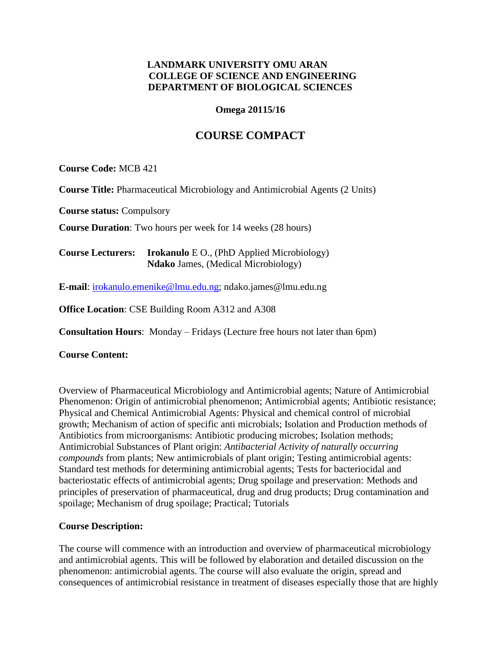## **LANDMARK UNIVERSITY OMU ARAN COLLEGE OF SCIENCE AND ENGINEERING DEPARTMENT OF BIOLOGICAL SCIENCES**

#### **Omega 20115/16**

# **COURSE COMPACT**

**Course Code:** MCB 421

**Course Title:** Pharmaceutical Microbiology and Antimicrobial Agents (2 Units)

**Course status:** Compulsory

**Course Duration**: Two hours per week for 14 weeks (28 hours)

**Course Lecturers: Irokanulo** E O., (PhD Applied Microbiology) **Ndako** James, (Medical Microbiology)

**E-mail**: [irokanulo.emenike@lmu.edu.ng;](mailto:irokanulo.emenike@lmu.edu.ng) ndako.james@lmu.edu.ng

**Office Location**: CSE Building Room A312 and A308

**Consultation Hours**: Monday – Fridays (Lecture free hours not later than 6pm)

**Course Content:**

Overview of Pharmaceutical Microbiology and Antimicrobial agents; Nature of Antimicrobial Phenomenon: Origin of antimicrobial phenomenon; Antimicrobial agents; Antibiotic resistance; Physical and Chemical Antimicrobial Agents: Physical and chemical control of microbial growth; Mechanism of action of specific anti microbials; Isolation and Production methods of Antibiotics from microorganisms: Antibiotic producing microbes; Isolation methods; Antimicrobial Substances of Plant origin: *Antibacterial Activity of naturally occurring compounds* from plants; New antimicrobials of plant origin; Testing antimicrobial agents: Standard test methods for determining antimicrobial agents; Tests for bacteriocidal and bacteriostatic effects of antimicrobial agents; Drug spoilage and preservation: Methods and principles of preservation of pharmaceutical, drug and drug products; Drug contamination and spoilage; Mechanism of drug spoilage; Practical; Tutorials

## **Course Description:**

The course will commence with an introduction and overview of pharmaceutical microbiology and antimicrobial agents. This will be followed by elaboration and detailed discussion on the phenomenon: antimicrobial agents. The course will also evaluate the origin, spread and consequences of antimicrobial resistance in treatment of diseases especially those that are highly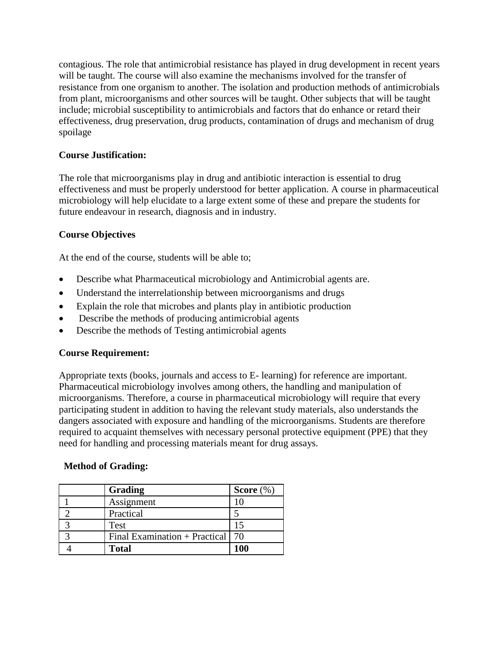contagious. The role that antimicrobial resistance has played in drug development in recent years will be taught. The course will also examine the mechanisms involved for the transfer of resistance from one organism to another. The isolation and production methods of antimicrobials from plant, microorganisms and other sources will be taught. Other subjects that will be taught include; microbial susceptibility to antimicrobials and factors that do enhance or retard their effectiveness, drug preservation, drug products, contamination of drugs and mechanism of drug spoilage

## **Course Justification:**

The role that microorganisms play in drug and antibiotic interaction is essential to drug effectiveness and must be properly understood for better application. A course in pharmaceutical microbiology will help elucidate to a large extent some of these and prepare the students for future endeavour in research, diagnosis and in industry.

## **Course Objectives**

At the end of the course, students will be able to;

- Describe what Pharmaceutical microbiology and Antimicrobial agents are.
- Understand the interrelationship between microorganisms and drugs
- Explain the role that microbes and plants play in antibiotic production
- Describe the methods of producing antimicrobial agents
- Describe the methods of Testing antimicrobial agents

## **Course Requirement:**

Appropriate texts (books, journals and access to E- learning) for reference are important. Pharmaceutical microbiology involves among others, the handling and manipulation of microorganisms. Therefore, a course in pharmaceutical microbiology will require that every participating student in addition to having the relevant study materials, also understands the dangers associated with exposure and handling of the microorganisms. Students are therefore required to acquaint themselves with necessary personal protective equipment (PPE) that they need for handling and processing materials meant for drug assays.

## **Method of Grading:**

| Grading                                  | Score $(\%)$ |
|------------------------------------------|--------------|
| Assignment                               |              |
| Practical                                |              |
| <b>Test</b>                              |              |
| Final Examination + Practical $\vert$ 70 |              |
| <b>Total</b>                             | 100          |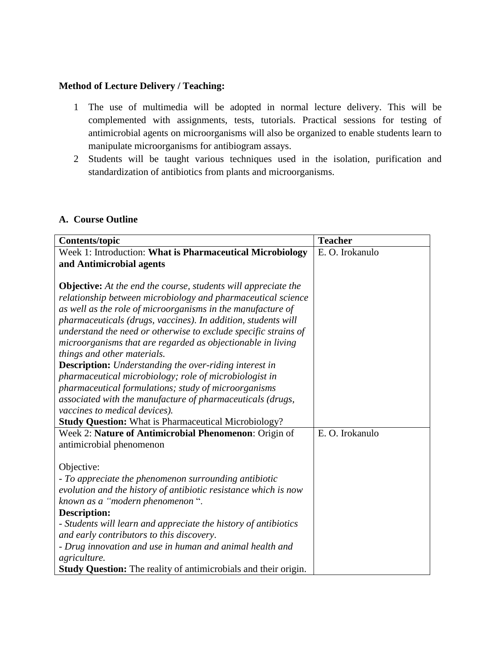#### **Method of Lecture Delivery / Teaching:**

- 1 The use of multimedia will be adopted in normal lecture delivery. This will be complemented with assignments, tests, tutorials. Practical sessions for testing of antimicrobial agents on microorganisms will also be organized to enable students learn to manipulate microorganisms for antibiogram assays.
- 2 Students will be taught various techniques used in the isolation, purification and standardization of antibiotics from plants and microorganisms.

#### **A. Course Outline**

| <b>Contents/topic</b>                                                  | <b>Teacher</b>  |
|------------------------------------------------------------------------|-----------------|
| Week 1: Introduction: What is Pharmaceutical Microbiology              | E. O. Irokanulo |
| and Antimicrobial agents                                               |                 |
|                                                                        |                 |
| <b>Objective:</b> At the end the course, students will appreciate the  |                 |
| relationship between microbiology and pharmaceutical science           |                 |
| as well as the role of microorganisms in the manufacture of            |                 |
| pharmaceuticals (drugs, vaccines). In addition, students will          |                 |
| understand the need or otherwise to exclude specific strains of        |                 |
| microorganisms that are regarded as objectionable in living            |                 |
| things and other materials.                                            |                 |
| <b>Description:</b> Understanding the over-riding interest in          |                 |
| pharmaceutical microbiology; role of microbiologist in                 |                 |
| pharmaceutical formulations; study of microorganisms                   |                 |
| associated with the manufacture of pharmaceuticals (drugs,             |                 |
| vaccines to medical devices).                                          |                 |
| <b>Study Question:</b> What is Pharmaceutical Microbiology?            |                 |
| Week 2: Nature of Antimicrobial Phenomenon: Origin of                  | E. O. Irokanulo |
| antimicrobial phenomenon                                               |                 |
|                                                                        |                 |
| Objective:                                                             |                 |
| - To appreciate the phenomenon surrounding antibiotic                  |                 |
| evolution and the history of antibiotic resistance which is now        |                 |
| known as a "modern phenomenon".                                        |                 |
| <b>Description:</b>                                                    |                 |
| - Students will learn and appreciate the history of antibiotics        |                 |
| and early contributors to this discovery.                              |                 |
| - Drug innovation and use in human and animal health and               |                 |
| agriculture.                                                           |                 |
| <b>Study Question:</b> The reality of antimicrobials and their origin. |                 |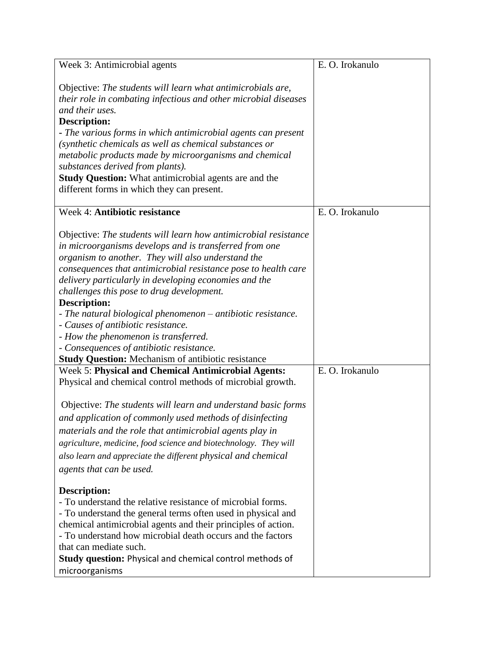| Week 3: Antimicrobial agents                                                                                                                                                                                                                                                                                                                                                                                                                                                                                                                                                                                                          | E. O. Irokanulo |
|---------------------------------------------------------------------------------------------------------------------------------------------------------------------------------------------------------------------------------------------------------------------------------------------------------------------------------------------------------------------------------------------------------------------------------------------------------------------------------------------------------------------------------------------------------------------------------------------------------------------------------------|-----------------|
| Objective: The students will learn what antimicrobials are,<br>their role in combating infectious and other microbial diseases<br>and their uses.<br><b>Description:</b><br>- The various forms in which antimicrobial agents can present<br>(synthetic chemicals as well as chemical substances or<br>metabolic products made by microorganisms and chemical<br>substances derived from plants).<br><b>Study Question:</b> What antimicrobial agents are and the<br>different forms in which they can present.                                                                                                                       |                 |
| Week 4: Antibiotic resistance                                                                                                                                                                                                                                                                                                                                                                                                                                                                                                                                                                                                         | E. O. Irokanulo |
| Objective: The students will learn how antimicrobial resistance<br>in microorganisms develops and is transferred from one<br>organism to another. They will also understand the<br>consequences that antimicrobial resistance pose to health care<br>delivery particularly in developing economies and the<br>challenges this pose to drug development.<br><b>Description:</b><br>- The natural biological phenomenon – antibiotic resistance.<br>- Causes of antibiotic resistance.<br>- How the phenomenon is transferred.<br>- Consequences of antibiotic resistance.<br><b>Study Question:</b> Mechanism of antibiotic resistance |                 |
| <b>Week 5: Physical and Chemical Antimicrobial Agents:</b>                                                                                                                                                                                                                                                                                                                                                                                                                                                                                                                                                                            | E. O. Irokanulo |
| Physical and chemical control methods of microbial growth.<br>Objective: The students will learn and understand basic forms<br>and application of commonly used methods of disinfecting<br>materials and the role that antimicrobial agents play in<br>agriculture, medicine, food science and biotechnology. They will<br>also learn and appreciate the different physical and chemical<br>agents that can be used.                                                                                                                                                                                                                  |                 |
| Description:<br>- To understand the relative resistance of microbial forms.<br>- To understand the general terms often used in physical and<br>chemical antimicrobial agents and their principles of action.<br>- To understand how microbial death occurs and the factors<br>that can mediate such.<br><b>Study question: Physical and chemical control methods of</b><br>microorganisms                                                                                                                                                                                                                                             |                 |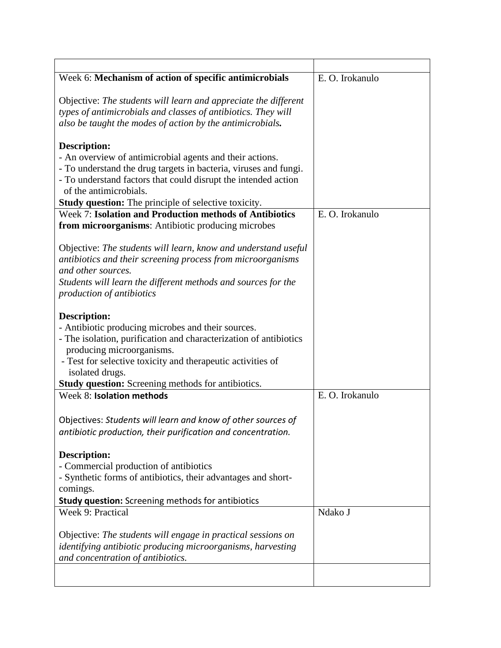| Week 6: Mechanism of action of specific antimicrobials            | E. O. Irokanulo |
|-------------------------------------------------------------------|-----------------|
|                                                                   |                 |
| Objective: The students will learn and appreciate the different   |                 |
| types of antimicrobials and classes of antibiotics. They will     |                 |
| also be taught the modes of action by the antimicrobials.         |                 |
| <b>Description:</b>                                               |                 |
| - An overview of antimicrobial agents and their actions.          |                 |
| - To understand the drug targets in bacteria, viruses and fungi.  |                 |
| - To understand factors that could disrupt the intended action    |                 |
| of the antimicrobials.                                            |                 |
| Study question: The principle of selective toxicity.              |                 |
| <b>Week 7: Isolation and Production methods of Antibiotics</b>    | E. O. Irokanulo |
| from microorganisms: Antibiotic producing microbes                |                 |
|                                                                   |                 |
| Objective: The students will learn, know and understand useful    |                 |
| antibiotics and their screening process from microorganisms       |                 |
| and other sources.                                                |                 |
| Students will learn the different methods and sources for the     |                 |
| production of antibiotics                                         |                 |
| <b>Description:</b>                                               |                 |
| - Antibiotic producing microbes and their sources.                |                 |
| - The isolation, purification and characterization of antibiotics |                 |
| producing microorganisms.                                         |                 |
| - Test for selective toxicity and therapeutic activities of       |                 |
| isolated drugs.                                                   |                 |
| <b>Study question:</b> Screening methods for antibiotics.         |                 |
| Week 8: Isolation methods                                         | E. O. Irokanulo |
|                                                                   |                 |
| Objectives: Students will learn and know of other sources of      |                 |
| antibiotic production, their purification and concentration.      |                 |
|                                                                   |                 |
| <b>Description:</b>                                               |                 |
| - Commercial production of antibiotics                            |                 |
| - Synthetic forms of antibiotics, their advantages and short-     |                 |
| comings.                                                          |                 |
| <b>Study question:</b> Screening methods for antibiotics          |                 |
| Week 9: Practical                                                 | Ndako J         |
| Objective: The students will engage in practical sessions on      |                 |
| identifying antibiotic producing microorganisms, harvesting       |                 |
| and concentration of antibiotics.                                 |                 |
|                                                                   |                 |
|                                                                   |                 |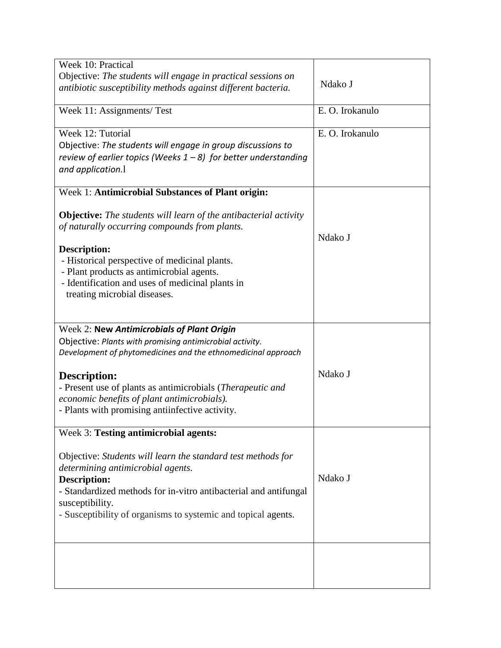| Week 10: Practical                                                      |                 |
|-------------------------------------------------------------------------|-----------------|
| Objective: The students will engage in practical sessions on            |                 |
| antibiotic susceptibility methods against different bacteria.           | Ndako J         |
|                                                                         |                 |
| Week 11: Assignments/ Test                                              | E. O. Irokanulo |
|                                                                         |                 |
| Week 12: Tutorial                                                       | E. O. Irokanulo |
| Objective: The students will engage in group discussions to             |                 |
| review of earlier topics (Weeks $1 - 8$ ) for better understanding      |                 |
| and application.1                                                       |                 |
|                                                                         |                 |
| Week 1: Antimicrobial Substances of Plant origin:                       |                 |
|                                                                         |                 |
| <b>Objective:</b> The students will learn of the antibacterial activity |                 |
| of naturally occurring compounds from plants.                           |                 |
|                                                                         | Ndako J         |
| Description:                                                            |                 |
| - Historical perspective of medicinal plants.                           |                 |
| - Plant products as antimicrobial agents.                               |                 |
| - Identification and uses of medicinal plants in                        |                 |
| treating microbial diseases.                                            |                 |
|                                                                         |                 |
|                                                                         |                 |
| Week 2: New Antimicrobials of Plant Origin                              |                 |
| Objective: Plants with promising antimicrobial activity.                |                 |
| Development of phytomedicines and the ethnomedicinal approach           |                 |
| <b>Description:</b>                                                     | Ndako J         |
|                                                                         |                 |
| - Present use of plants as antimicrobials (Therapeutic and              |                 |
| economic benefits of plant antimicrobials).                             |                 |
| - Plants with promising antiinfective activity.                         |                 |
| Week 3: Testing antimicrobial agents:                                   |                 |
|                                                                         |                 |
| Objective: Students will learn the standard test methods for            |                 |
| determining antimicrobial agents.                                       |                 |
| <b>Description:</b>                                                     | Ndako J         |
| - Standardized methods for in-vitro antibacterial and antifungal        |                 |
| susceptibility.                                                         |                 |
| - Susceptibility of organisms to systemic and topical agents.           |                 |
|                                                                         |                 |
|                                                                         |                 |
|                                                                         |                 |
|                                                                         |                 |
|                                                                         |                 |
|                                                                         |                 |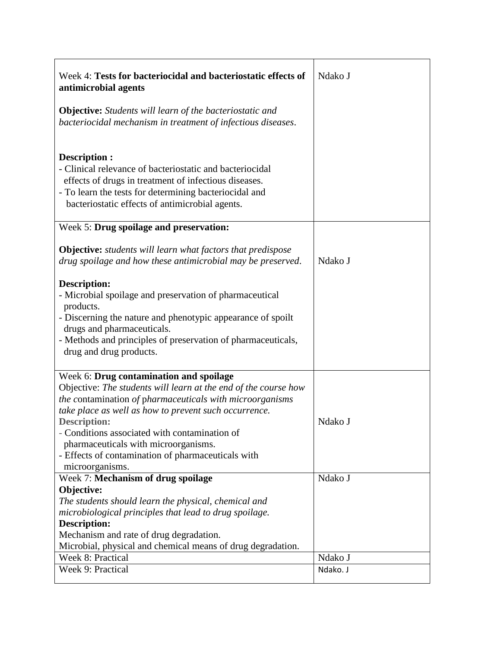| Week 4: Tests for bacteriocidal and bacteriostatic effects of<br>antimicrobial agents                                                                                                                                                                                                                                                                                                                                    | Ndako J  |
|--------------------------------------------------------------------------------------------------------------------------------------------------------------------------------------------------------------------------------------------------------------------------------------------------------------------------------------------------------------------------------------------------------------------------|----------|
| <b>Objective:</b> Students will learn of the bacteriostatic and<br>bacteriocidal mechanism in treatment of infectious diseases.                                                                                                                                                                                                                                                                                          |          |
| Description :<br>- Clinical relevance of bacteriostatic and bacteriocidal<br>effects of drugs in treatment of infectious diseases.<br>- To learn the tests for determining bacteriocidal and<br>bacteriostatic effects of antimicrobial agents.                                                                                                                                                                          |          |
| Week 5: Drug spoilage and preservation:                                                                                                                                                                                                                                                                                                                                                                                  |          |
| <b>Objective:</b> students will learn what factors that predispose<br>drug spoilage and how these antimicrobial may be preserved.                                                                                                                                                                                                                                                                                        | Ndako J  |
| Description:<br>- Microbial spoilage and preservation of pharmaceutical<br>products.<br>- Discerning the nature and phenotypic appearance of spoilt<br>drugs and pharmaceuticals.<br>- Methods and principles of preservation of pharmaceuticals,<br>drug and drug products.                                                                                                                                             |          |
| Week 6: Drug contamination and spoilage<br>Objective: The students will learn at the end of the course how<br>the contamination of pharmaceuticals with microorganisms<br>take place as well as how to prevent such occurrence.<br><b>Description:</b><br>- Conditions associated with contamination of<br>pharmaceuticals with microorganisms.<br>- Effects of contamination of pharmaceuticals with<br>microorganisms. | Ndako J  |
| Week 7: Mechanism of drug spoilage<br>Objective:<br>The students should learn the physical, chemical and<br>microbiological principles that lead to drug spoilage.<br><b>Description:</b><br>Mechanism and rate of drug degradation.<br>Microbial, physical and chemical means of drug degradation.                                                                                                                      | Ndako J  |
| Week 8: Practical                                                                                                                                                                                                                                                                                                                                                                                                        | Ndako J  |
| Week 9: Practical                                                                                                                                                                                                                                                                                                                                                                                                        | Ndako. J |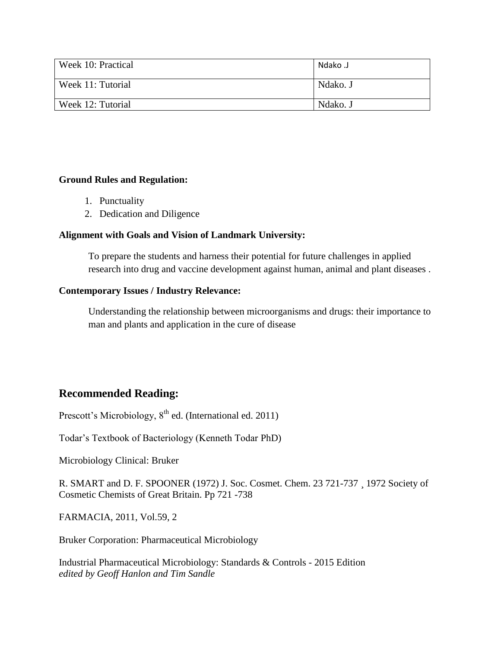| Week 10: Practical | Ndako J  |
|--------------------|----------|
| Week 11: Tutorial  | Ndako. J |
| Week 12: Tutorial  | Ndako. J |

#### **Ground Rules and Regulation:**

- 1. Punctuality
- 2. Dedication and Diligence

#### **Alignment with Goals and Vision of Landmark University:**

To prepare the students and harness their potential for future challenges in applied research into drug and vaccine development against human, animal and plant diseases .

#### **Contemporary Issues / Industry Relevance:**

Understanding the relationship between microorganisms and drugs: their importance to man and plants and application in the cure of disease

## **Recommended Reading:**

Prescott's Microbiology, 8<sup>th</sup> ed. (International ed. 2011)

Todar's Textbook of Bacteriology (Kenneth Todar PhD)

Microbiology Clinical: Bruker

R. SMART and D. F. SPOONER (1972) J. Soc. Cosmet. Chem. 23 721-737 ¸ 1972 Society of Cosmetic Chemists of Great Britain. Pp 721 -738

FARMACIA, 2011, Vol.59, 2

Bruker Corporation: Pharmaceutical Microbiology

Industrial Pharmaceutical Microbiology: Standards & Controls - 2015 Edition *edited by Geoff Hanlon and Tim Sandle*